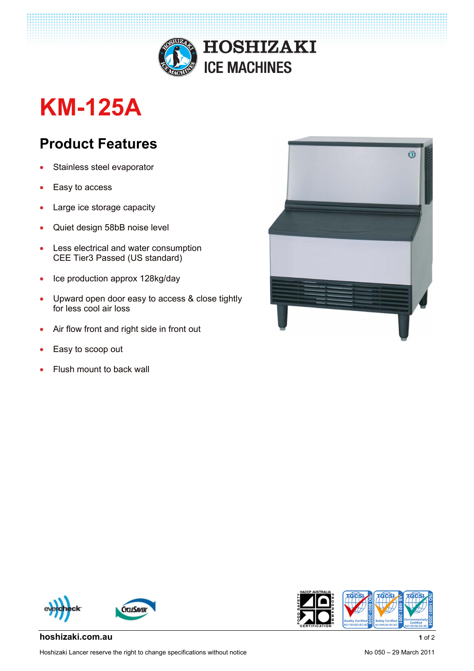

# **KM-125A**

## **Product Features**

- Stainless steel evaporator
- Easy to access
- Large ice storage capacity
- Quiet design 58bB noise level
- Less electrical and water consumption CEE Tier3 Passed (US standard)
- Ice production approx 128kg/day
- Upward open door easy to access & close tightly for less cool air loss
- Air flow front and right side in front out
- Easy to scoop out
- Flush mount to back wall